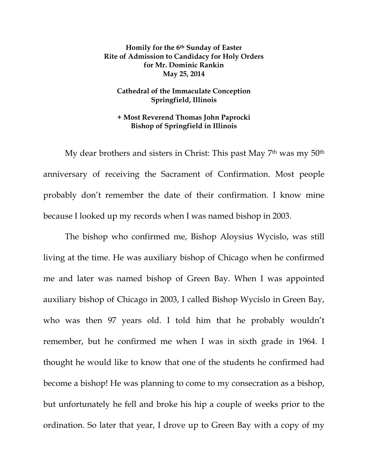**Homily for the 6th Sunday of Easter Rite of Admission to Candidacy for Holy Orders for Mr. Dominic Rankin May 25, 2014** 

## **Cathedral of the Immaculate Conception Springfield, Illinois**

## **+ Most Reverend Thomas John Paprocki Bishop of Springfield in Illinois**

 My dear brothers and sisters in Christ: This past May 7th was my 50th anniversary of receiving the Sacrament of Confirmation. Most people probably don't remember the date of their confirmation. I know mine because I looked up my records when I was named bishop in 2003.

The bishop who confirmed me, Bishop Aloysius Wycislo, was still living at the time. He was auxiliary bishop of Chicago when he confirmed me and later was named bishop of Green Bay. When I was appointed auxiliary bishop of Chicago in 2003, I called Bishop Wycislo in Green Bay, who was then 97 years old. I told him that he probably wouldn't remember, but he confirmed me when I was in sixth grade in 1964. I thought he would like to know that one of the students he confirmed had become a bishop! He was planning to come to my consecration as a bishop, but unfortunately he fell and broke his hip a couple of weeks prior to the ordination. So later that year, I drove up to Green Bay with a copy of my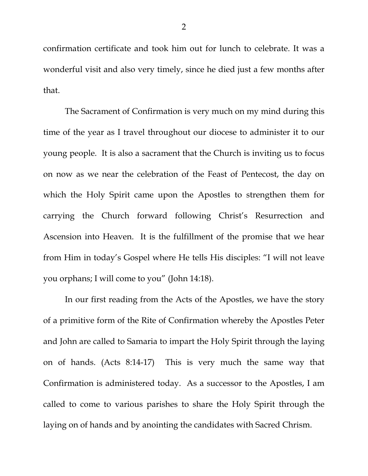confirmation certificate and took him out for lunch to celebrate. It was a wonderful visit and also very timely, since he died just a few months after that.

The Sacrament of Confirmation is very much on my mind during this time of the year as I travel throughout our diocese to administer it to our young people. It is also a sacrament that the Church is inviting us to focus on now as we near the celebration of the Feast of Pentecost, the day on which the Holy Spirit came upon the Apostles to strengthen them for carrying the Church forward following Christ's Resurrection and Ascension into Heaven. It is the fulfillment of the promise that we hear from Him in today's Gospel where He tells His disciples: "I will not leave you orphans; I will come to you" (John 14:18).

In our first reading from the Acts of the Apostles, we have the story of a primitive form of the Rite of Confirmation whereby the Apostles Peter and John are called to Samaria to impart the Holy Spirit through the laying on of hands. (Acts 8:14-17) This is very much the same way that Confirmation is administered today. As a successor to the Apostles, I am called to come to various parishes to share the Holy Spirit through the laying on of hands and by anointing the candidates with Sacred Chrism.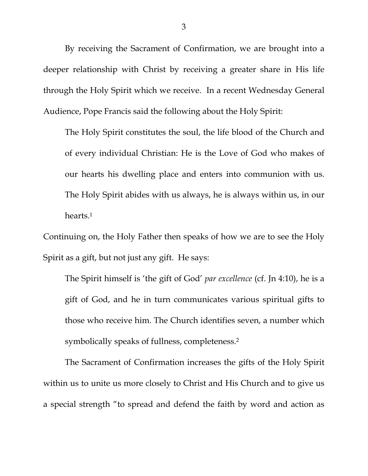By receiving the Sacrament of Confirmation, we are brought into a deeper relationship with Christ by receiving a greater share in His life through the Holy Spirit which we receive. In a recent Wednesday General Audience, Pope Francis said the following about the Holy Spirit:

The Holy Spirit constitutes the soul, the life blood of the Church and of every individual Christian: He is the Love of God who makes of our hearts his dwelling place and enters into communion with us. The Holy Spirit abides with us always, he is always within us, in our hearts.1

Continuing on, the Holy Father then speaks of how we are to see the Holy Spirit as a gift, but not just any gift. He says:

The Spirit himself is 'the gift of God' *par excellence* (cf. Jn 4:10), he is a gift of God, and he in turn communicates various spiritual gifts to those who receive him. The Church identifies seven, a number which symbolically speaks of fullness, completeness.2

The Sacrament of Confirmation increases the gifts of the Holy Spirit within us to unite us more closely to Christ and His Church and to give us a special strength "to spread and defend the faith by word and action as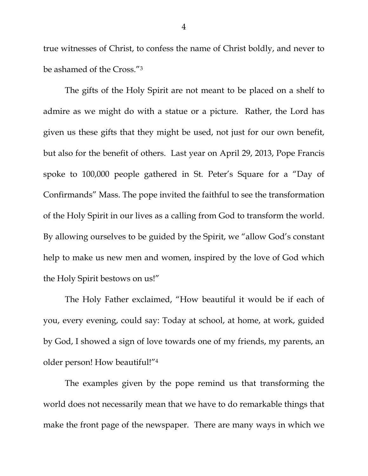true witnesses of Christ, to confess the name of Christ boldly, and never to be ashamed of the Cross."3

The gifts of the Holy Spirit are not meant to be placed on a shelf to admire as we might do with a statue or a picture. Rather, the Lord has given us these gifts that they might be used, not just for our own benefit, but also for the benefit of others. Last year on April 29, 2013, Pope Francis spoke to 100,000 people gathered in St. Peter's Square for a "Day of Confirmands" Mass. The pope invited the faithful to see the transformation of the Holy Spirit in our lives as a calling from God to transform the world. By allowing ourselves to be guided by the Spirit, we "allow God's constant help to make us new men and women, inspired by the love of God which the Holy Spirit bestows on us!"

The Holy Father exclaimed, "How beautiful it would be if each of you, every evening, could say: Today at school, at home, at work, guided by God, I showed a sign of love towards one of my friends, my parents, an older person! How beautiful!"4

The examples given by the pope remind us that transforming the world does not necessarily mean that we have to do remarkable things that make the front page of the newspaper. There are many ways in which we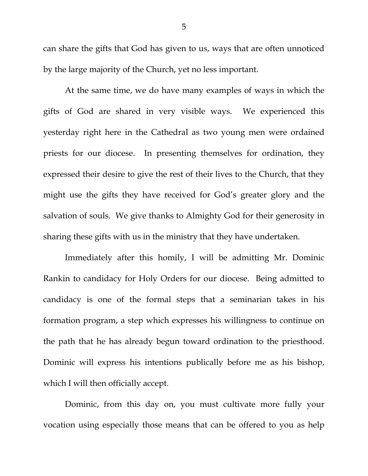can share the gifts that God has given to us, ways that are often unnoticed by the large majority of the Church, yet no less important.

At the same time, we do have many examples of ways in which the gifts of God are shared in very visible ways. We experienced this yesterday right here in the Cathedral as two young men were ordained priests for our diocese. In presenting themselves for ordination, they expressed their desire to give the rest of their lives to the Church, that they might use the gifts they have received for God's greater glory and the salvation of souls. We give thanks to Almighty God for their generosity in sharing these gifts with us in the ministry that they have undertaken.

Immediately after this homily, I will be admitting Mr. Dominic Rankin to candidacy for Holy Orders for our diocese. Being admitted to candidacy is one of the formal steps that a seminarian takes in his formation program, a step which expresses his willingness to continue on the path that he has already begun toward ordination to the priesthood. Dominic will express his intentions publically before me as his bishop, which I will then officially accept.

Dominic, from this day on, you must cultivate more fully your vocation using especially those means that can be offered to you as help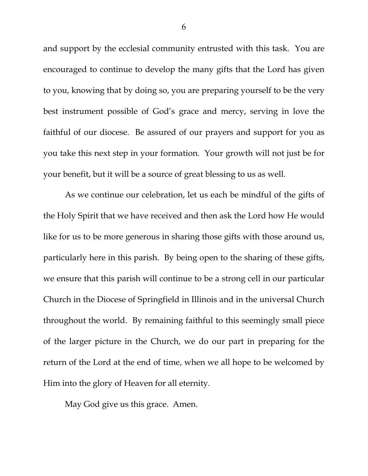and support by the ecclesial community entrusted with this task. You are encouraged to continue to develop the many gifts that the Lord has given to you, knowing that by doing so, you are preparing yourself to be the very best instrument possible of God's grace and mercy, serving in love the faithful of our diocese. Be assured of our prayers and support for you as you take this next step in your formation. Your growth will not just be for your benefit, but it will be a source of great blessing to us as well.

As we continue our celebration, let us each be mindful of the gifts of the Holy Spirit that we have received and then ask the Lord how He would like for us to be more generous in sharing those gifts with those around us, particularly here in this parish. By being open to the sharing of these gifts, we ensure that this parish will continue to be a strong cell in our particular Church in the Diocese of Springfield in Illinois and in the universal Church throughout the world. By remaining faithful to this seemingly small piece of the larger picture in the Church, we do our part in preparing for the return of the Lord at the end of time, when we all hope to be welcomed by Him into the glory of Heaven for all eternity.

May God give us this grace. Amen.